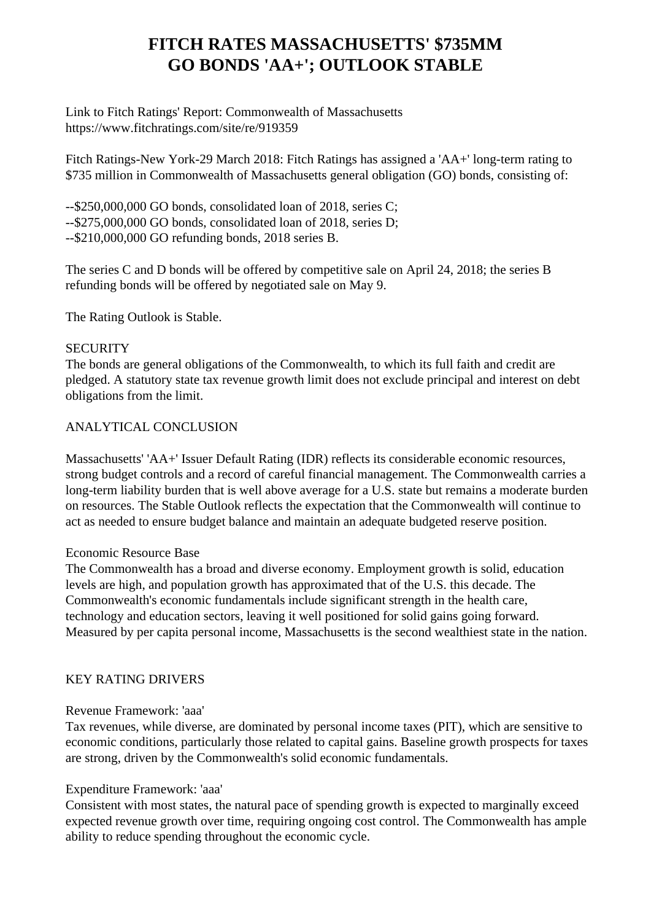# **FITCH RATES MASSACHUSETTS' \$735MM GO BONDS 'AA+'; OUTLOOK STABLE**

 Link to Fitch Ratings' Report: Commonwealth of Massachusetts https://www.fitchratings.com/site/re/919359

 Fitch Ratings-New York-29 March 2018: Fitch Ratings has assigned a 'AA+' long-term rating to \$735 million in Commonwealth of Massachusetts general obligation (GO) bonds, consisting of:

 --\$250,000,000 GO bonds, consolidated loan of 2018, series C; --\$275,000,000 GO bonds, consolidated loan of 2018, series D; --\$210,000,000 GO refunding bonds, 2018 series B.

 The series C and D bonds will be offered by competitive sale on April 24, 2018; the series B refunding bonds will be offered by negotiated sale on May 9.

The Rating Outlook is Stable.

## **SECURITY**

 The bonds are general obligations of the Commonwealth, to which its full faith and credit are pledged. A statutory state tax revenue growth limit does not exclude principal and interest on debt obligations from the limit.

## ANALYTICAL CONCLUSION

 Massachusetts' 'AA+' Issuer Default Rating (IDR) reflects its considerable economic resources, strong budget controls and a record of careful financial management. The Commonwealth carries a long-term liability burden that is well above average for a U.S. state but remains a moderate burden on resources. The Stable Outlook reflects the expectation that the Commonwealth will continue to act as needed to ensure budget balance and maintain an adequate budgeted reserve position.

# Economic Resource Base

 The Commonwealth has a broad and diverse economy. Employment growth is solid, education levels are high, and population growth has approximated that of the U.S. this decade. The Commonwealth's economic fundamentals include significant strength in the health care, technology and education sectors, leaving it well positioned for solid gains going forward. Measured by per capita personal income, Massachusetts is the second wealthiest state in the nation.

# KEY RATING DRIVERS

# Revenue Framework: 'aaa'

 Tax revenues, while diverse, are dominated by personal income taxes (PIT), which are sensitive to economic conditions, particularly those related to capital gains. Baseline growth prospects for taxes are strong, driven by the Commonwealth's solid economic fundamentals.

#### Expenditure Framework: 'aaa'

 Consistent with most states, the natural pace of spending growth is expected to marginally exceed expected revenue growth over time, requiring ongoing cost control. The Commonwealth has ample ability to reduce spending throughout the economic cycle.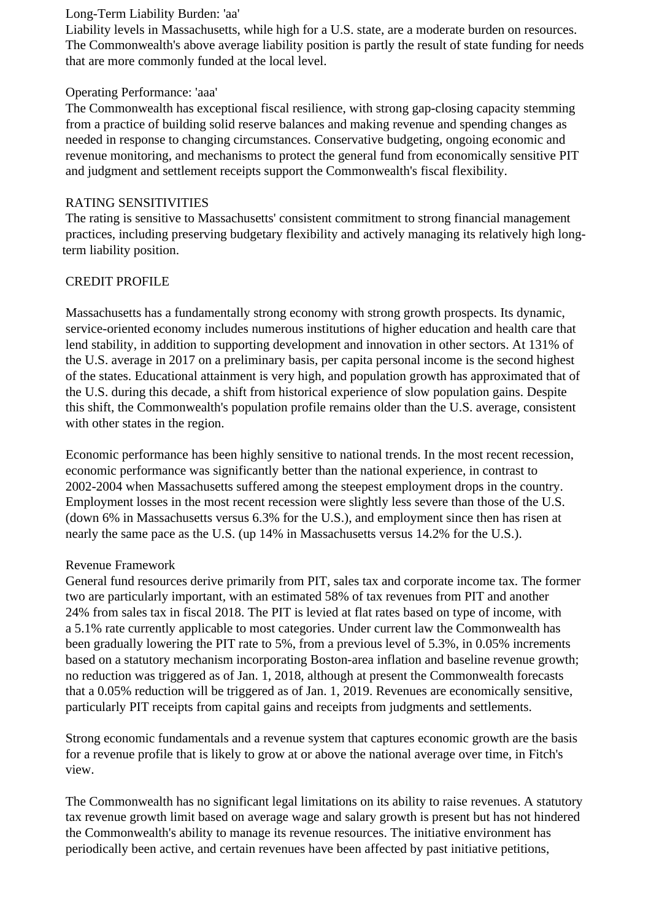#### Long-Term Liability Burden: 'aa'

 Liability levels in Massachusetts, while high for a U.S. state, are a moderate burden on resources. The Commonwealth's above average liability position is partly the result of state funding for needs that are more commonly funded at the local level.

## Operating Performance: 'aaa'

 The Commonwealth has exceptional fiscal resilience, with strong gap-closing capacity stemming from a practice of building solid reserve balances and making revenue and spending changes as needed in response to changing circumstances. Conservative budgeting, ongoing economic and revenue monitoring, and mechanisms to protect the general fund from economically sensitive PIT and judgment and settlement receipts support the Commonwealth's fiscal flexibility.

# RATING SENSITIVITIES

 The rating is sensitive to Massachusetts' consistent commitment to strong financial management practices, including preserving budgetary flexibility and actively managing its relatively high longterm liability position.

# CREDIT PROFILE

 Massachusetts has a fundamentally strong economy with strong growth prospects. Its dynamic, service-oriented economy includes numerous institutions of higher education and health care that lend stability, in addition to supporting development and innovation in other sectors. At 131% of the U.S. average in 2017 on a preliminary basis, per capita personal income is the second highest of the states. Educational attainment is very high, and population growth has approximated that of the U.S. during this decade, a shift from historical experience of slow population gains. Despite this shift, the Commonwealth's population profile remains older than the U.S. average, consistent with other states in the region.

 Economic performance has been highly sensitive to national trends. In the most recent recession, economic performance was significantly better than the national experience, in contrast to 2002-2004 when Massachusetts suffered among the steepest employment drops in the country. Employment losses in the most recent recession were slightly less severe than those of the U.S. (down 6% in Massachusetts versus 6.3% for the U.S.), and employment since then has risen at nearly the same pace as the U.S. (up 14% in Massachusetts versus 14.2% for the U.S.).

# Revenue Framework

 General fund resources derive primarily from PIT, sales tax and corporate income tax. The former two are particularly important, with an estimated 58% of tax revenues from PIT and another 24% from sales tax in fiscal 2018. The PIT is levied at flat rates based on type of income, with a 5.1% rate currently applicable to most categories. Under current law the Commonwealth has been gradually lowering the PIT rate to 5%, from a previous level of 5.3%, in 0.05% increments based on a statutory mechanism incorporating Boston-area inflation and baseline revenue growth; no reduction was triggered as of Jan. 1, 2018, although at present the Commonwealth forecasts that a 0.05% reduction will be triggered as of Jan. 1, 2019. Revenues are economically sensitive, particularly PIT receipts from capital gains and receipts from judgments and settlements.

 Strong economic fundamentals and a revenue system that captures economic growth are the basis for a revenue profile that is likely to grow at or above the national average over time, in Fitch's view.

 The Commonwealth has no significant legal limitations on its ability to raise revenues. A statutory tax revenue growth limit based on average wage and salary growth is present but has not hindered the Commonwealth's ability to manage its revenue resources. The initiative environment has periodically been active, and certain revenues have been affected by past initiative petitions,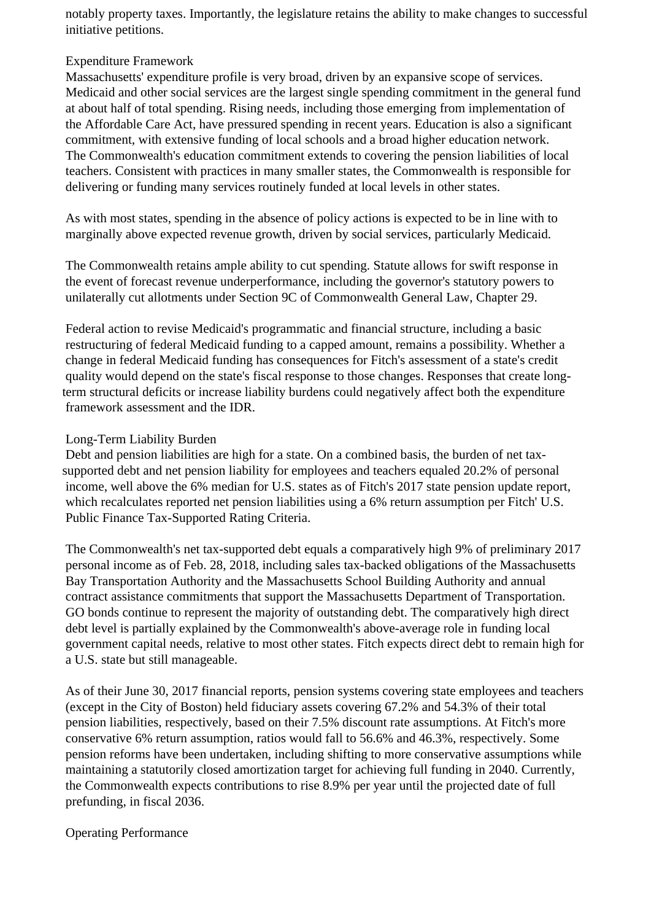notably property taxes. Importantly, the legislature retains the ability to make changes to successful initiative petitions.

## Expenditure Framework

 Massachusetts' expenditure profile is very broad, driven by an expansive scope of services. Medicaid and other social services are the largest single spending commitment in the general fund at about half of total spending. Rising needs, including those emerging from implementation of the Affordable Care Act, have pressured spending in recent years. Education is also a significant commitment, with extensive funding of local schools and a broad higher education network. The Commonwealth's education commitment extends to covering the pension liabilities of local teachers. Consistent with practices in many smaller states, the Commonwealth is responsible for delivering or funding many services routinely funded at local levels in other states.

 As with most states, spending in the absence of policy actions is expected to be in line with to marginally above expected revenue growth, driven by social services, particularly Medicaid.

 The Commonwealth retains ample ability to cut spending. Statute allows for swift response in the event of forecast revenue underperformance, including the governor's statutory powers to unilaterally cut allotments under Section 9C of Commonwealth General Law, Chapter 29.

 Federal action to revise Medicaid's programmatic and financial structure, including a basic restructuring of federal Medicaid funding to a capped amount, remains a possibility. Whether a change in federal Medicaid funding has consequences for Fitch's assessment of a state's credit quality would depend on the state's fiscal response to those changes. Responses that create longterm structural deficits or increase liability burdens could negatively affect both the expenditure framework assessment and the IDR.

# Long-Term Liability Burden

 Debt and pension liabilities are high for a state. On a combined basis, the burden of net taxsupported debt and net pension liability for employees and teachers equaled 20.2% of personal income, well above the 6% median for U.S. states as of Fitch's 2017 state pension update report, which recalculates reported net pension liabilities using a 6% return assumption per Fitch' U.S. Public Finance Tax-Supported Rating Criteria.

 The Commonwealth's net tax-supported debt equals a comparatively high 9% of preliminary 2017 personal income as of Feb. 28, 2018, including sales tax-backed obligations of the Massachusetts Bay Transportation Authority and the Massachusetts School Building Authority and annual contract assistance commitments that support the Massachusetts Department of Transportation. GO bonds continue to represent the majority of outstanding debt. The comparatively high direct debt level is partially explained by the Commonwealth's above-average role in funding local government capital needs, relative to most other states. Fitch expects direct debt to remain high for a U.S. state but still manageable.

 As of their June 30, 2017 financial reports, pension systems covering state employees and teachers (except in the City of Boston) held fiduciary assets covering 67.2% and 54.3% of their total pension liabilities, respectively, based on their 7.5% discount rate assumptions. At Fitch's more conservative 6% return assumption, ratios would fall to 56.6% and 46.3%, respectively. Some pension reforms have been undertaken, including shifting to more conservative assumptions while maintaining a statutorily closed amortization target for achieving full funding in 2040. Currently, the Commonwealth expects contributions to rise 8.9% per year until the projected date of full prefunding, in fiscal 2036.

Operating Performance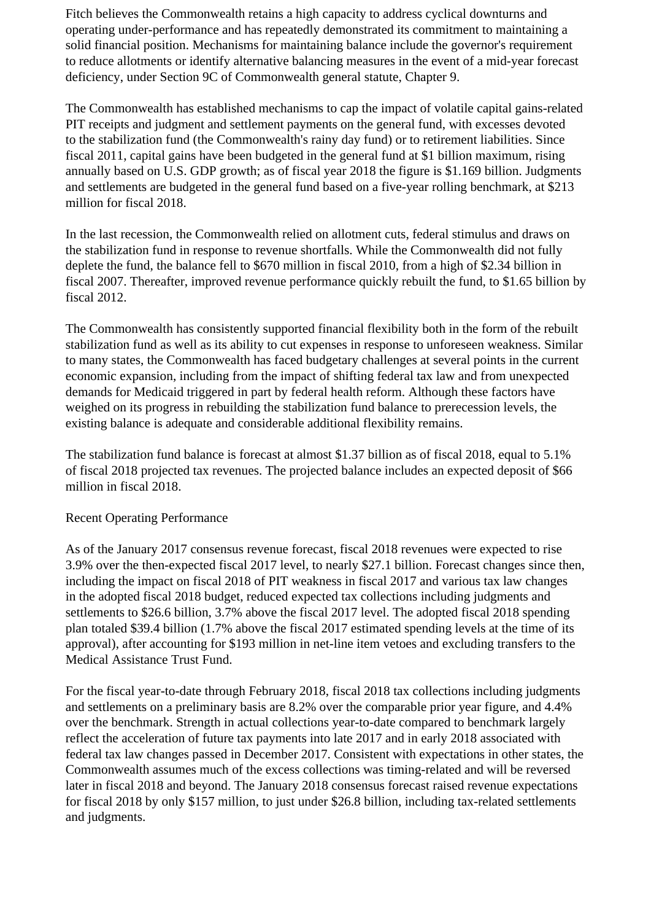Fitch believes the Commonwealth retains a high capacity to address cyclical downturns and operating under-performance and has repeatedly demonstrated its commitment to maintaining a solid financial position. Mechanisms for maintaining balance include the governor's requirement to reduce allotments or identify alternative balancing measures in the event of a mid-year forecast deficiency, under Section 9C of Commonwealth general statute, Chapter 9.

 The Commonwealth has established mechanisms to cap the impact of volatile capital gains-related PIT receipts and judgment and settlement payments on the general fund, with excesses devoted to the stabilization fund (the Commonwealth's rainy day fund) or to retirement liabilities. Since fiscal 2011, capital gains have been budgeted in the general fund at \$1 billion maximum, rising annually based on U.S. GDP growth; as of fiscal year 2018 the figure is \$1.169 billion. Judgments and settlements are budgeted in the general fund based on a five-year rolling benchmark, at \$213 million for fiscal 2018.

 In the last recession, the Commonwealth relied on allotment cuts, federal stimulus and draws on the stabilization fund in response to revenue shortfalls. While the Commonwealth did not fully deplete the fund, the balance fell to \$670 million in fiscal 2010, from a high of \$2.34 billion in fiscal 2007. Thereafter, improved revenue performance quickly rebuilt the fund, to \$1.65 billion by fiscal 2012.

 The Commonwealth has consistently supported financial flexibility both in the form of the rebuilt stabilization fund as well as its ability to cut expenses in response to unforeseen weakness. Similar to many states, the Commonwealth has faced budgetary challenges at several points in the current economic expansion, including from the impact of shifting federal tax law and from unexpected demands for Medicaid triggered in part by federal health reform. Although these factors have weighed on its progress in rebuilding the stabilization fund balance to prerecession levels, the existing balance is adequate and considerable additional flexibility remains.

 The stabilization fund balance is forecast at almost \$1.37 billion as of fiscal 2018, equal to 5.1% of fiscal 2018 projected tax revenues. The projected balance includes an expected deposit of \$66 million in fiscal 2018.

#### Recent Operating Performance

 As of the January 2017 consensus revenue forecast, fiscal 2018 revenues were expected to rise 3.9% over the then-expected fiscal 2017 level, to nearly \$27.1 billion. Forecast changes since then, including the impact on fiscal 2018 of PIT weakness in fiscal 2017 and various tax law changes in the adopted fiscal 2018 budget, reduced expected tax collections including judgments and settlements to \$26.6 billion, 3.7% above the fiscal 2017 level. The adopted fiscal 2018 spending plan totaled \$39.4 billion (1.7% above the fiscal 2017 estimated spending levels at the time of its approval), after accounting for \$193 million in net-line item vetoes and excluding transfers to the Medical Assistance Trust Fund.

 For the fiscal year-to-date through February 2018, fiscal 2018 tax collections including judgments and settlements on a preliminary basis are 8.2% over the comparable prior year figure, and 4.4% over the benchmark. Strength in actual collections year-to-date compared to benchmark largely reflect the acceleration of future tax payments into late 2017 and in early 2018 associated with federal tax law changes passed in December 2017. Consistent with expectations in other states, the Commonwealth assumes much of the excess collections was timing-related and will be reversed later in fiscal 2018 and beyond. The January 2018 consensus forecast raised revenue expectations for fiscal 2018 by only \$157 million, to just under \$26.8 billion, including tax-related settlements and judgments.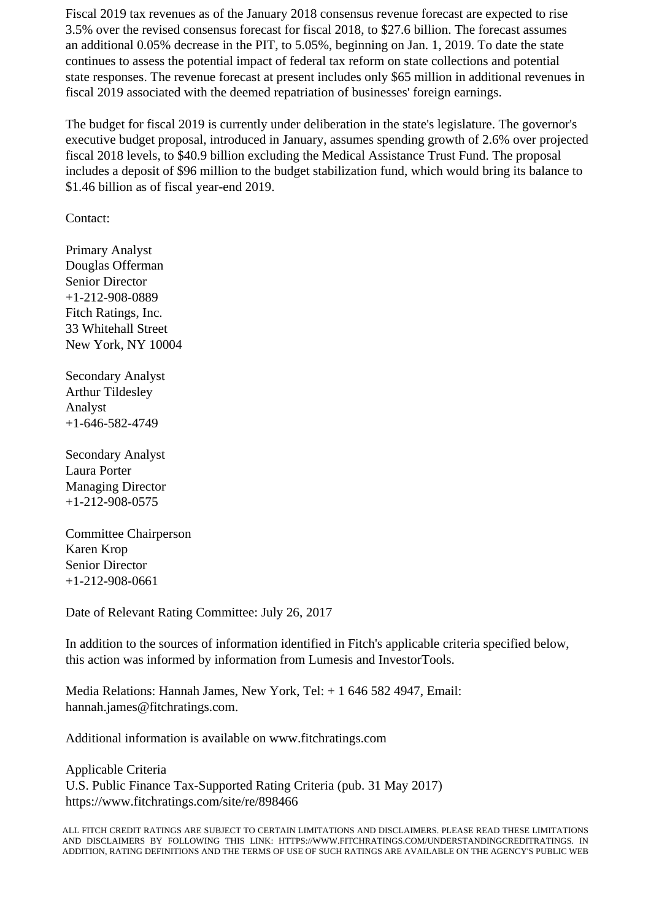Fiscal 2019 tax revenues as of the January 2018 consensus revenue forecast are expected to rise 3.5% over the revised consensus forecast for fiscal 2018, to \$27.6 billion. The forecast assumes an additional 0.05% decrease in the PIT, to 5.05%, beginning on Jan. 1, 2019. To date the state continues to assess the potential impact of federal tax reform on state collections and potential state responses. The revenue forecast at present includes only \$65 million in additional revenues in fiscal 2019 associated with the deemed repatriation of businesses' foreign earnings.

 The budget for fiscal 2019 is currently under deliberation in the state's legislature. The governor's executive budget proposal, introduced in January, assumes spending growth of 2.6% over projected fiscal 2018 levels, to \$40.9 billion excluding the Medical Assistance Trust Fund. The proposal includes a deposit of \$96 million to the budget stabilization fund, which would bring its balance to \$1.46 billion as of fiscal year-end 2019.

Contact:

 Primary Analyst Douglas Offerman Senior Director +1-212-908-0889 Fitch Ratings, Inc. 33 Whitehall Street New York, NY 10004

 Secondary Analyst Arthur Tildesley Analyst +1-646-582-4749

 Secondary Analyst Laura Porter Managing Director +1-212-908-0575

 Committee Chairperson Karen Krop Senior Director +1-212-908-0661

Date of Relevant Rating Committee: July 26, 2017

 In addition to the sources of information identified in Fitch's applicable criteria specified below, this action was informed by information from Lumesis and InvestorTools.

 Media Relations: Hannah James, New York, Tel: + 1 646 582 4947, Email: hannah.james@fitchratings.com.

Additional information is available on www.fitchratings.com

 Applicable Criteria U.S. Public Finance Tax-Supported Rating Criteria (pub. 31 May 2017) https://www.fitchratings.com/site/re/898466